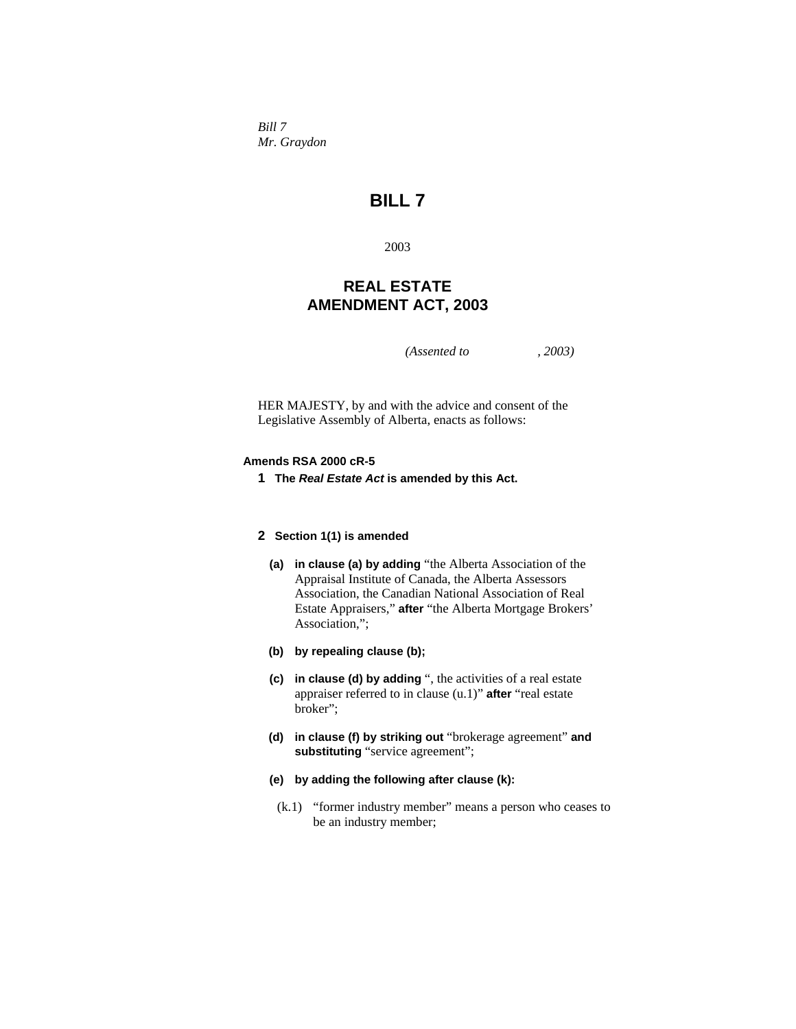*Bill 7 Mr. Graydon* 

# **BILL 7**

2003

## **REAL ESTATE AMENDMENT ACT, 2003**

*(Assented to , 2003)* 

HER MAJESTY, by and with the advice and consent of the Legislative Assembly of Alberta, enacts as follows:

## **Amends RSA 2000 cR-5**

**1 The** *Real Estate Act* **is amended by this Act.**

## **2 Section 1(1) is amended**

- **(a) in clause (a) by adding** "the Alberta Association of the Appraisal Institute of Canada, the Alberta Assessors Association, the Canadian National Association of Real Estate Appraisers," **after** "the Alberta Mortgage Brokers' Association,";
- **(b) by repealing clause (b);**
- **(c) in clause (d) by adding** ", the activities of a real estate appraiser referred to in clause (u.1)" **after** "real estate broker";
- **(d) in clause (f) by striking out** "brokerage agreement" **and substituting** "service agreement";
- **(e) by adding the following after clause (k):**
- (k.1) "former industry member" means a person who ceases to be an industry member;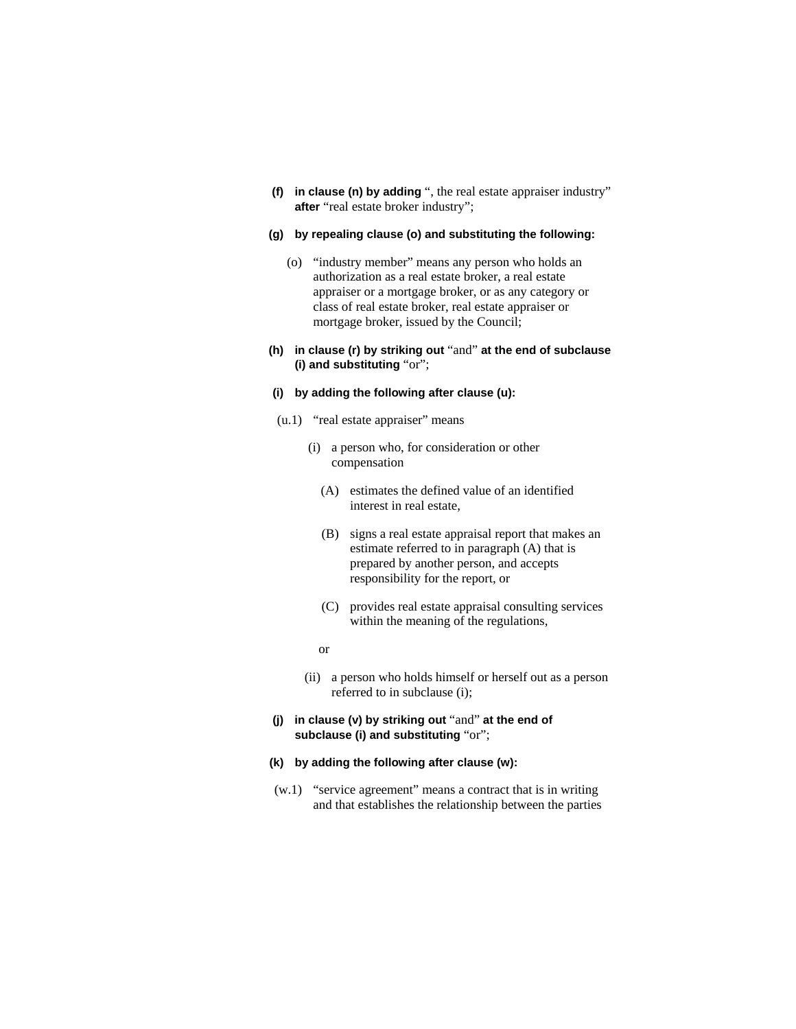**(f) in clause (n) by adding** ", the real estate appraiser industry" **after** "real estate broker industry";

#### **(g) by repealing clause (o) and substituting the following:**

- (o) "industry member" means any person who holds an authorization as a real estate broker, a real estate appraiser or a mortgage broker, or as any category or class of real estate broker, real estate appraiser or mortgage broker, issued by the Council;
- **(h) in clause (r) by striking out** "and" **at the end of subclause (i) and substituting** "or";

## **(i) by adding the following after clause (u):**

- (u.1) "real estate appraiser" means
	- (i) a person who, for consideration or other compensation
		- (A) estimates the defined value of an identified interest in real estate,
		- (B) signs a real estate appraisal report that makes an estimate referred to in paragraph (A) that is prepared by another person, and accepts responsibility for the report, or
		- (C) provides real estate appraisal consulting services within the meaning of the regulations,
		- or
	- (ii) a person who holds himself or herself out as a person referred to in subclause (i);
- **(j) in clause (v) by striking out** "and" **at the end of subclause (i) and substituting** "or";
- **(k) by adding the following after clause (w):**
- (w.1) "service agreement" means a contract that is in writing and that establishes the relationship between the parties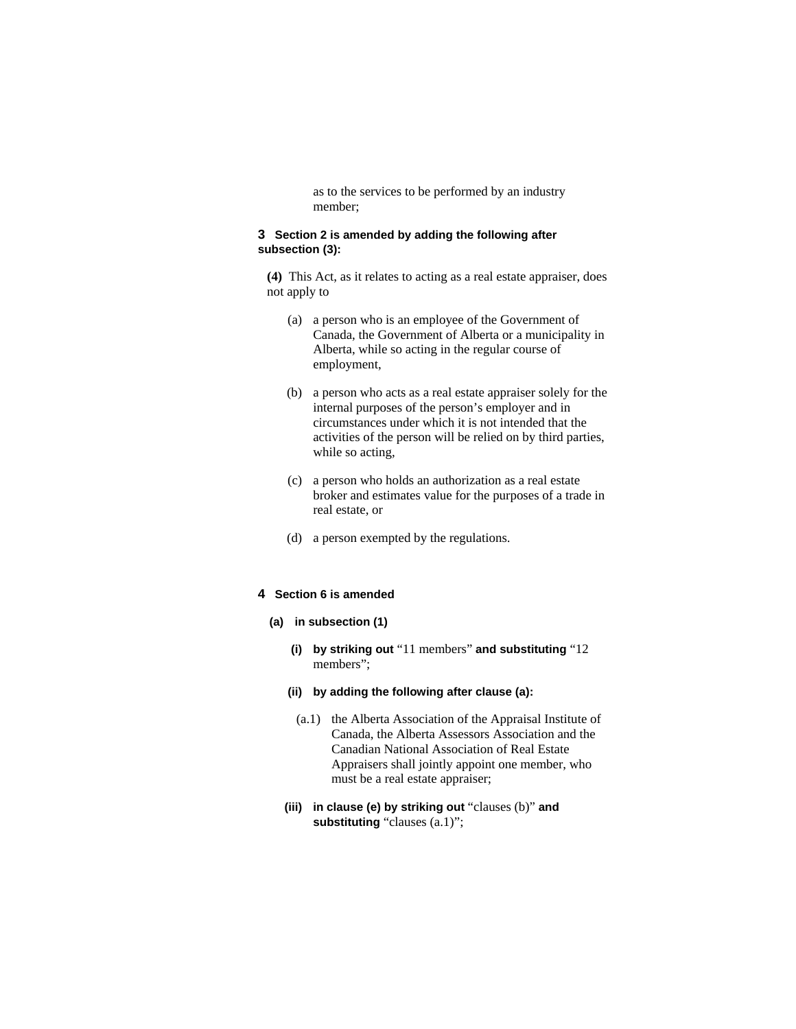as to the services to be performed by an industry member;

## **3 Section 2 is amended by adding the following after subsection (3):**

**(4)** This Act, as it relates to acting as a real estate appraiser, does not apply to

- (a) a person who is an employee of the Government of Canada, the Government of Alberta or a municipality in Alberta, while so acting in the regular course of employment,
- (b) a person who acts as a real estate appraiser solely for the internal purposes of the person's employer and in circumstances under which it is not intended that the activities of the person will be relied on by third parties, while so acting.
- (c) a person who holds an authorization as a real estate broker and estimates value for the purposes of a trade in real estate, or
- (d) a person exempted by the regulations.

## **4 Section 6 is amended**

- **(a) in subsection (1)** 
	- **(i) by striking out** "11 members" **and substituting** "12 members";
	- **(ii) by adding the following after clause (a):**
	- (a.1) the Alberta Association of the Appraisal Institute of Canada, the Alberta Assessors Association and the Canadian National Association of Real Estate Appraisers shall jointly appoint one member, who must be a real estate appraiser;
	- **(iii) in clause (e) by striking out** "clauses (b)" **and substituting** "clauses (a.1)";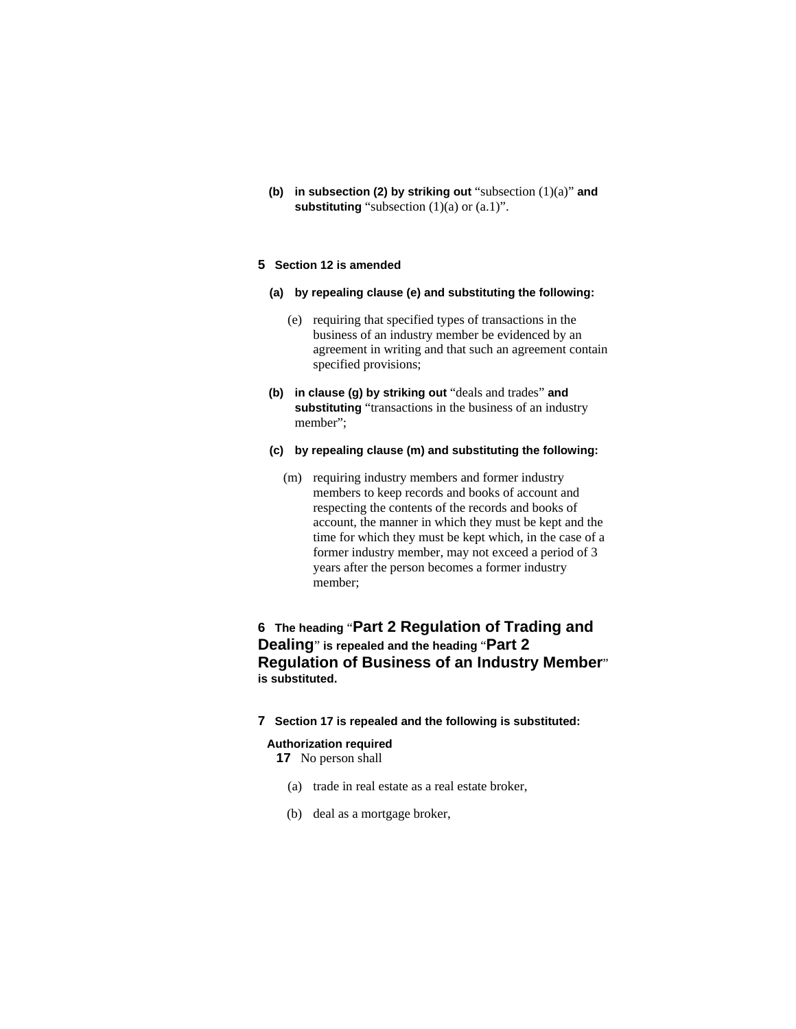**(b) in subsection (2) by striking out** "subsection (1)(a)" **and substituting** "subsection (1)(a) or (a.1)".

## **5 Section 12 is amended**

- **(a) by repealing clause (e) and substituting the following:**
	- (e) requiring that specified types of transactions in the business of an industry member be evidenced by an agreement in writing and that such an agreement contain specified provisions;
- **(b) in clause (g) by striking out** "deals and trades" **and substituting** "transactions in the business of an industry member";
- **(c) by repealing clause (m) and substituting the following:**
	- (m) requiring industry members and former industry members to keep records and books of account and respecting the contents of the records and books of account, the manner in which they must be kept and the time for which they must be kept which, in the case of a former industry member, may not exceed a period of 3 years after the person becomes a former industry member;

## **6 The heading** "**Part 2 Regulation of Trading and Dealing**" **is repealed and the heading** "**Part 2 Regulation of Business of an Industry Member**" **is substituted.**

**7 Section 17 is repealed and the following is substituted:**

#### **Authorization required**

**17** No person shall

- (a) trade in real estate as a real estate broker,
- (b) deal as a mortgage broker,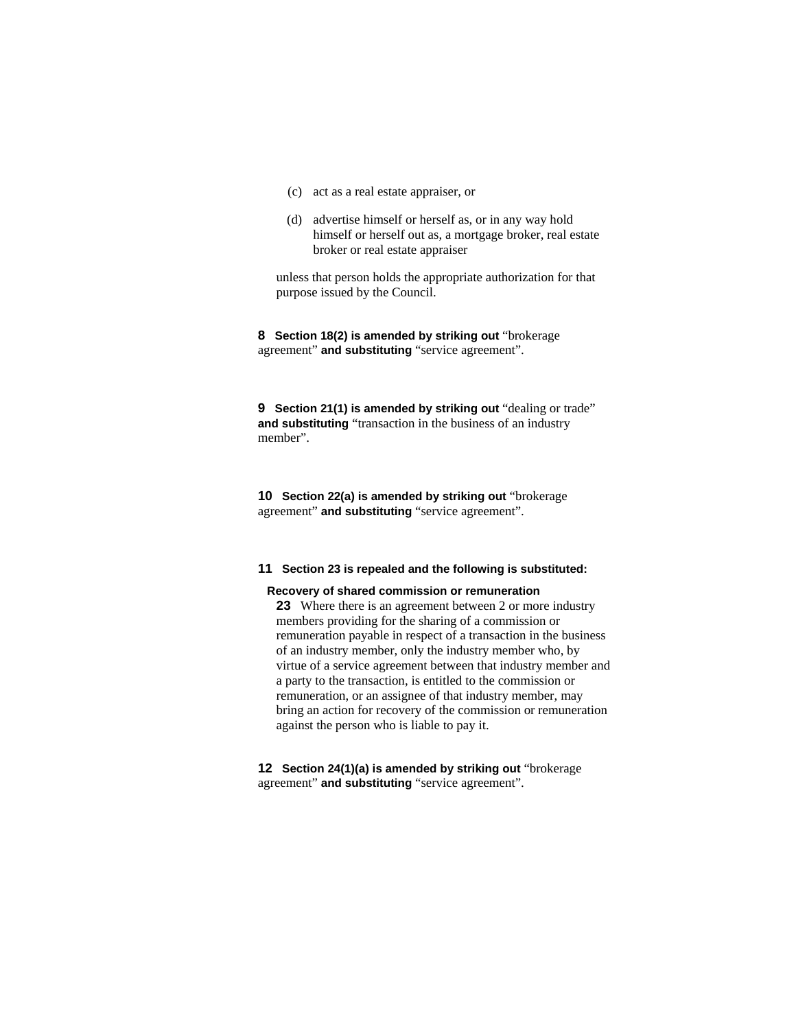- (c) act as a real estate appraiser, or
- (d) advertise himself or herself as, or in any way hold himself or herself out as, a mortgage broker, real estate broker or real estate appraiser

unless that person holds the appropriate authorization for that purpose issued by the Council.

**8 Section 18(2) is amended by striking out** "brokerage agreement" **and substituting** "service agreement".

**9** Section 21(1) is amended by striking out "dealing or trade" **and substituting** "transaction in the business of an industry member".

**10 Section 22(a) is amended by striking out** "brokerage agreement" **and substituting** "service agreement".

#### **11 Section 23 is repealed and the following is substituted:**

#### **Recovery of shared commission or remuneration**

**23** Where there is an agreement between 2 or more industry members providing for the sharing of a commission or remuneration payable in respect of a transaction in the business of an industry member, only the industry member who, by virtue of a service agreement between that industry member and a party to the transaction, is entitled to the commission or remuneration, or an assignee of that industry member, may bring an action for recovery of the commission or remuneration against the person who is liable to pay it.

**12 Section 24(1)(a) is amended by striking out** "brokerage agreement" **and substituting** "service agreement".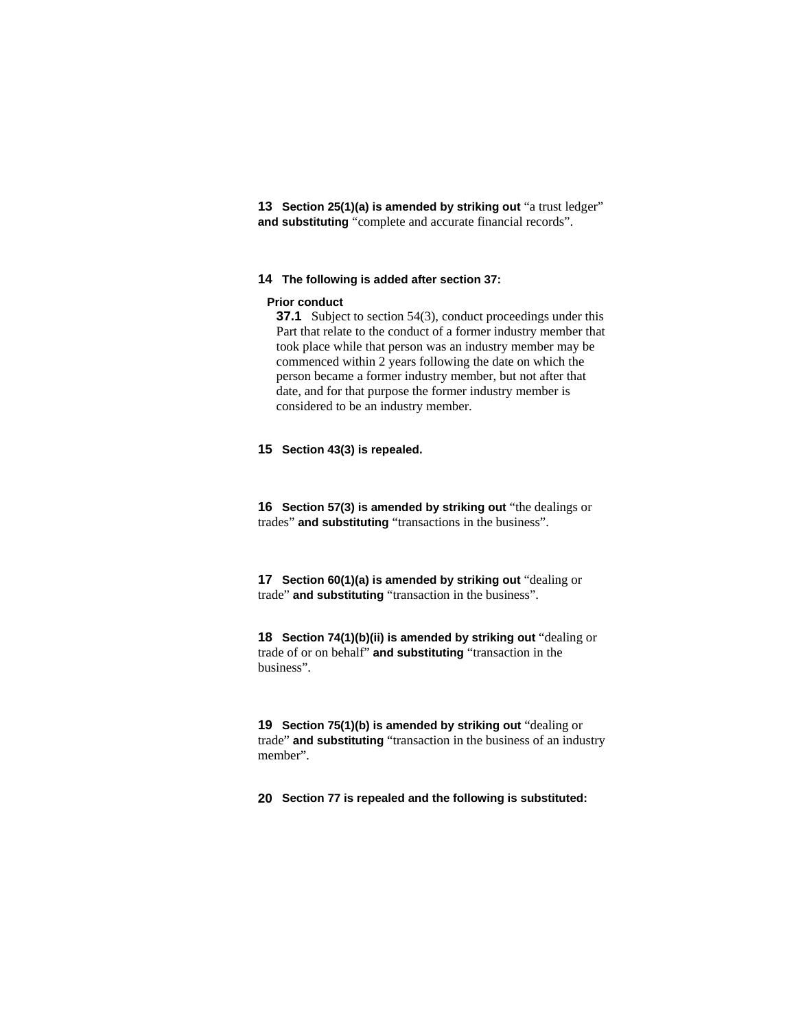**13 Section 25(1)(a) is amended by striking out** "a trust ledger" **and substituting** "complete and accurate financial records".

#### **14 The following is added after section 37:**

#### **Prior conduct**

**37.1** Subject to section 54(3), conduct proceedings under this Part that relate to the conduct of a former industry member that took place while that person was an industry member may be commenced within 2 years following the date on which the person became a former industry member, but not after that date, and for that purpose the former industry member is considered to be an industry member.

## **15 Section 43(3) is repealed.**

**16 Section 57(3) is amended by striking out** "the dealings or trades" **and substituting** "transactions in the business".

**17 Section 60(1)(a) is amended by striking out** "dealing or trade" **and substituting** "transaction in the business".

**18 Section 74(1)(b)(ii) is amended by striking out** "dealing or trade of or on behalf" **and substituting** "transaction in the business".

**19 Section 75(1)(b) is amended by striking out** "dealing or trade" **and substituting** "transaction in the business of an industry member".

**20 Section 77 is repealed and the following is substituted:**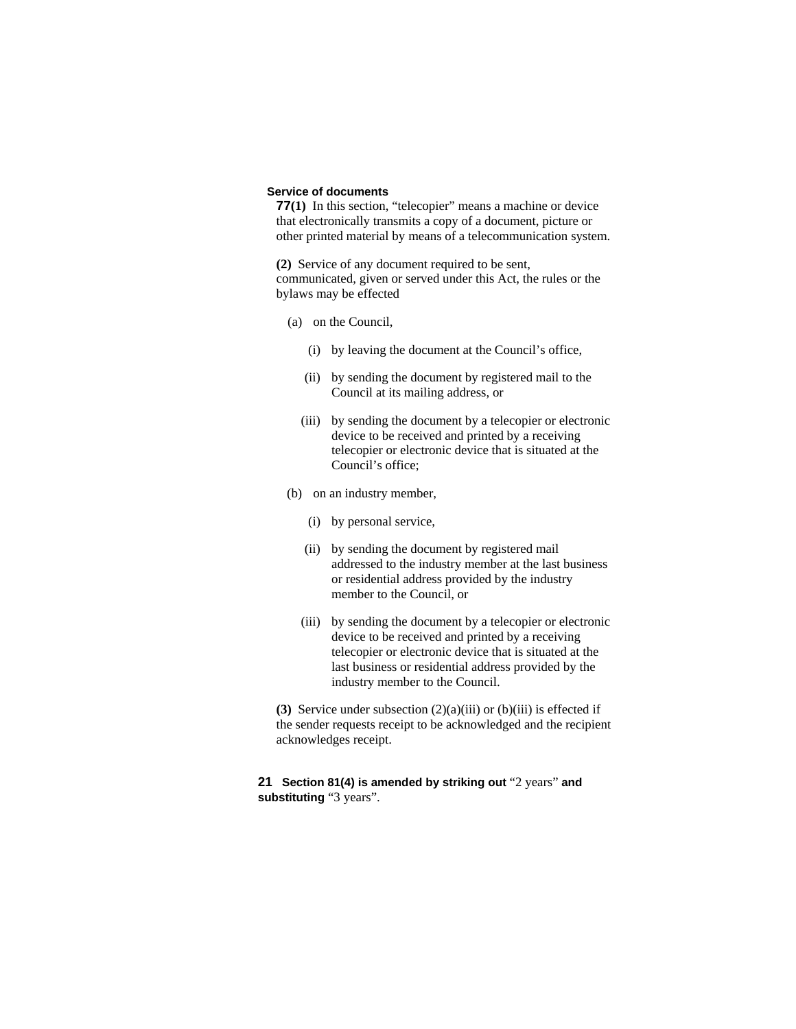#### **Service of documents**

**77(1)** In this section, "telecopier" means a machine or device that electronically transmits a copy of a document, picture or other printed material by means of a telecommunication system.

**(2)** Service of any document required to be sent, communicated, given or served under this Act, the rules or the bylaws may be effected

- (a) on the Council,
	- (i) by leaving the document at the Council's office,
	- (ii) by sending the document by registered mail to the Council at its mailing address, or
	- (iii) by sending the document by a telecopier or electronic device to be received and printed by a receiving telecopier or electronic device that is situated at the Council's office;
- (b) on an industry member,
	- (i) by personal service,
	- (ii) by sending the document by registered mail addressed to the industry member at the last business or residential address provided by the industry member to the Council, or
	- (iii) by sending the document by a telecopier or electronic device to be received and printed by a receiving telecopier or electronic device that is situated at the last business or residential address provided by the industry member to the Council.

**(3)** Service under subsection (2)(a)(iii) or (b)(iii) is effected if the sender requests receipt to be acknowledged and the recipient acknowledges receipt.

## **21 Section 81(4) is amended by striking out** "2 years" **and substituting** "3 years".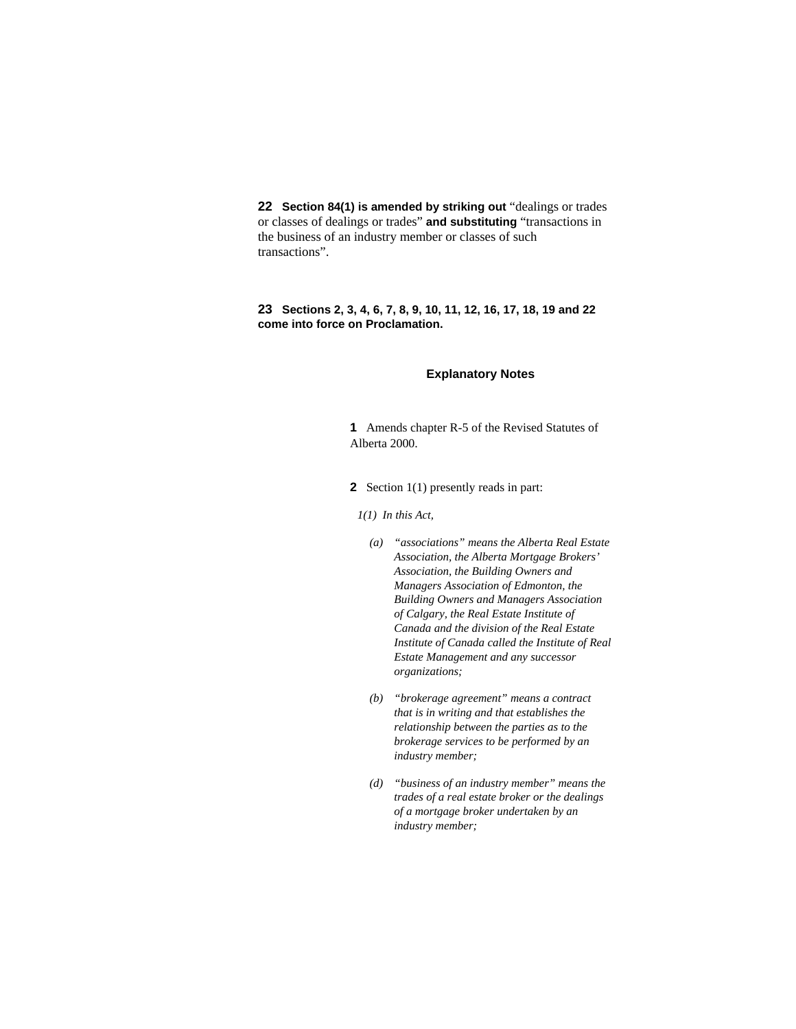**22 Section 84(1) is amended by striking out** "dealings or trades or classes of dealings or trades" **and substituting** "transactions in the business of an industry member or classes of such transactions".

## **23 Sections 2, 3, 4, 6, 7, 8, 9, 10, 11, 12, 16, 17, 18, 19 and 22 come into force on Proclamation.**

#### **Explanatory Notes**

**1** Amends chapter R-5 of the Revised Statutes of Alberta 2000.

**2** Section 1(1) presently reads in part:

*1(1) In this Act,* 

- *(a) "associations" means the Alberta Real Estate Association, the Alberta Mortgage Brokers' Association, the Building Owners and Managers Association of Edmonton, the Building Owners and Managers Association of Calgary, the Real Estate Institute of Canada and the division of the Real Estate Institute of Canada called the Institute of Real Estate Management and any successor organizations;*
- *(b) "brokerage agreement" means a contract that is in writing and that establishes the relationship between the parties as to the brokerage services to be performed by an industry member;*
- *(d) "business of an industry member" means the trades of a real estate broker or the dealings of a mortgage broker undertaken by an industry member;*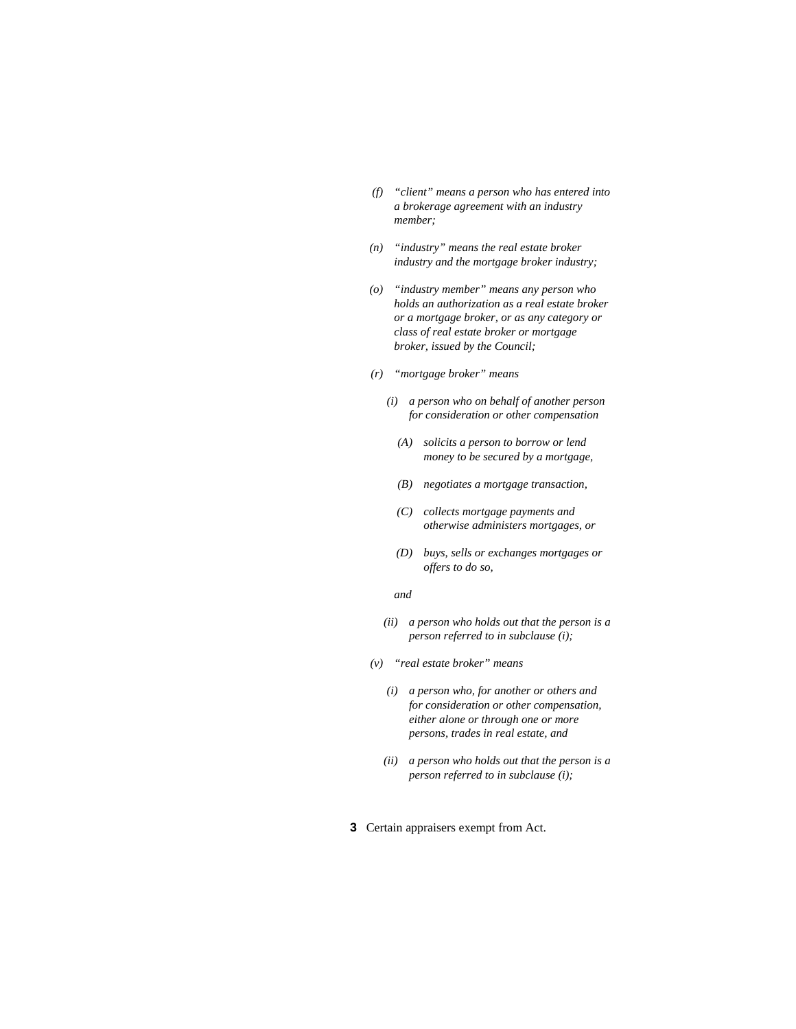- *(f) "client" means a person who has entered into a brokerage agreement with an industry member;*
- *(n) "industry" means the real estate broker industry and the mortgage broker industry;*
- *(o) "industry member" means any person who holds an authorization as a real estate broker or a mortgage broker, or as any category or class of real estate broker or mortgage broker, issued by the Council;*
- *(r) "mortgage broker" means* 
	- *(i) a person who on behalf of another person for consideration or other compensation* 
		- *(A) solicits a person to borrow or lend money to be secured by a mortgage,*
		- *(B) negotiates a mortgage transaction,*
		- *(C) collects mortgage payments and otherwise administers mortgages, or*
		- *(D) buys, sells or exchanges mortgages or offers to do so,*

#### *and*

- *(ii) a person who holds out that the person is a person referred to in subclause (i);*
- *(v) "real estate broker" means* 
	- *(i) a person who, for another or others and for consideration or other compensation, either alone or through one or more persons, trades in real estate, and*
	- *(ii) a person who holds out that the person is a person referred to in subclause (i);*
- **3** Certain appraisers exempt from Act.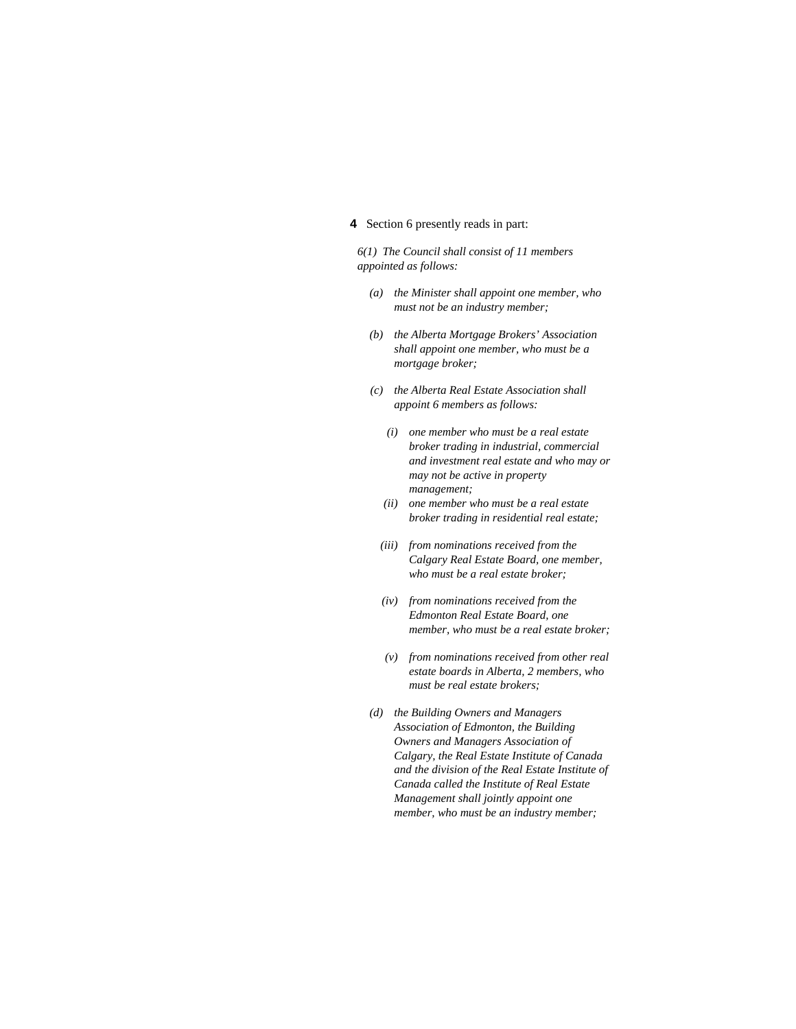## **4** Section 6 presently reads in part:

*6(1) The Council shall consist of 11 members appointed as follows:* 

- *(a) the Minister shall appoint one member, who must not be an industry member;*
- *(b) the Alberta Mortgage Brokers' Association shall appoint one member, who must be a mortgage broker;*
- *(c) the Alberta Real Estate Association shall appoint 6 members as follows:* 
	- *(i) one member who must be a real estate broker trading in industrial, commercial and investment real estate and who may or may not be active in property management;*
	- *(ii) one member who must be a real estate broker trading in residential real estate;*
	- *(iii) from nominations received from the Calgary Real Estate Board, one member, who must be a real estate broker;*
	- *(iv) from nominations received from the Edmonton Real Estate Board, one member, who must be a real estate broker;*
	- *(v) from nominations received from other real estate boards in Alberta, 2 members, who must be real estate brokers;*
- *(d) the Building Owners and Managers Association of Edmonton, the Building Owners and Managers Association of Calgary, the Real Estate Institute of Canada and the division of the Real Estate Institute of Canada called the Institute of Real Estate Management shall jointly appoint one member, who must be an industry member;*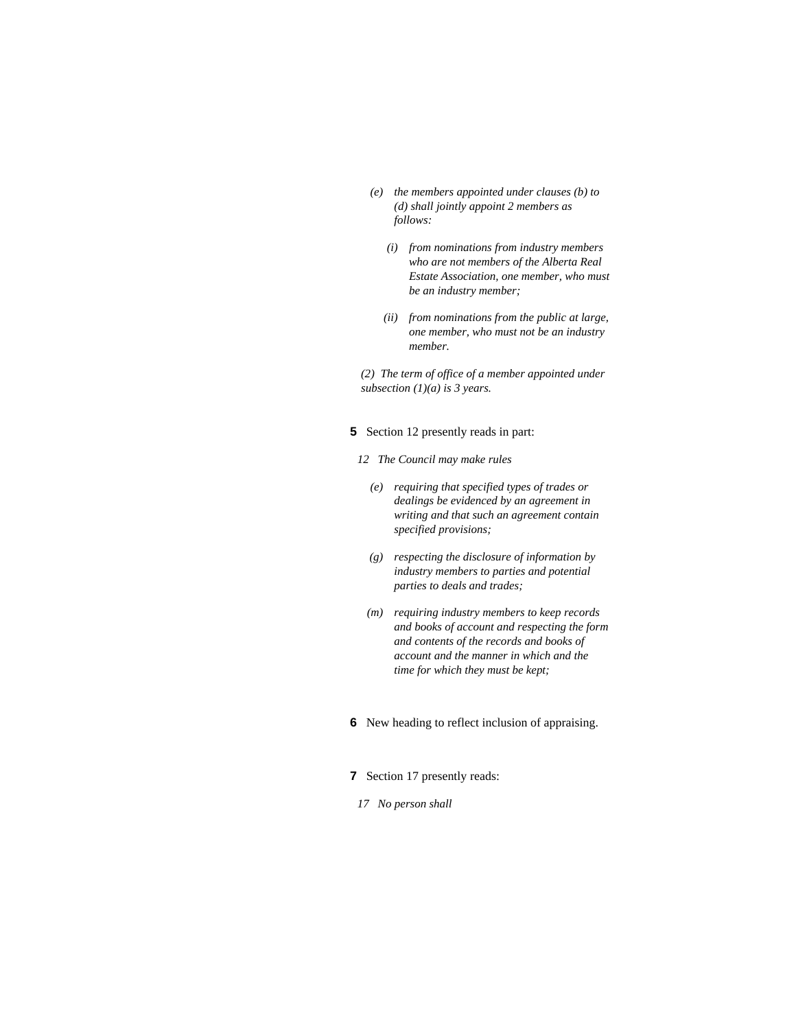- *(e) the members appointed under clauses (b) to (d) shall jointly appoint 2 members as follows:* 
	- *(i) from nominations from industry members who are not members of the Alberta Real Estate Association, one member, who must be an industry member;*
	- *(ii) from nominations from the public at large, one member, who must not be an industry member.*

*(2) The term of office of a member appointed under subsection (1)(a) is 3 years.* 

#### **5** Section 12 presently reads in part:

- *12 The Council may make rules* 
	- *(e) requiring that specified types of trades or dealings be evidenced by an agreement in writing and that such an agreement contain specified provisions;*
	- *(g) respecting the disclosure of information by industry members to parties and potential parties to deals and trades;*
	- *(m) requiring industry members to keep records and books of account and respecting the form and contents of the records and books of account and the manner in which and the time for which they must be kept;*
- **6** New heading to reflect inclusion of appraising.
- **7** Section 17 presently reads:
	- *17 No person shall*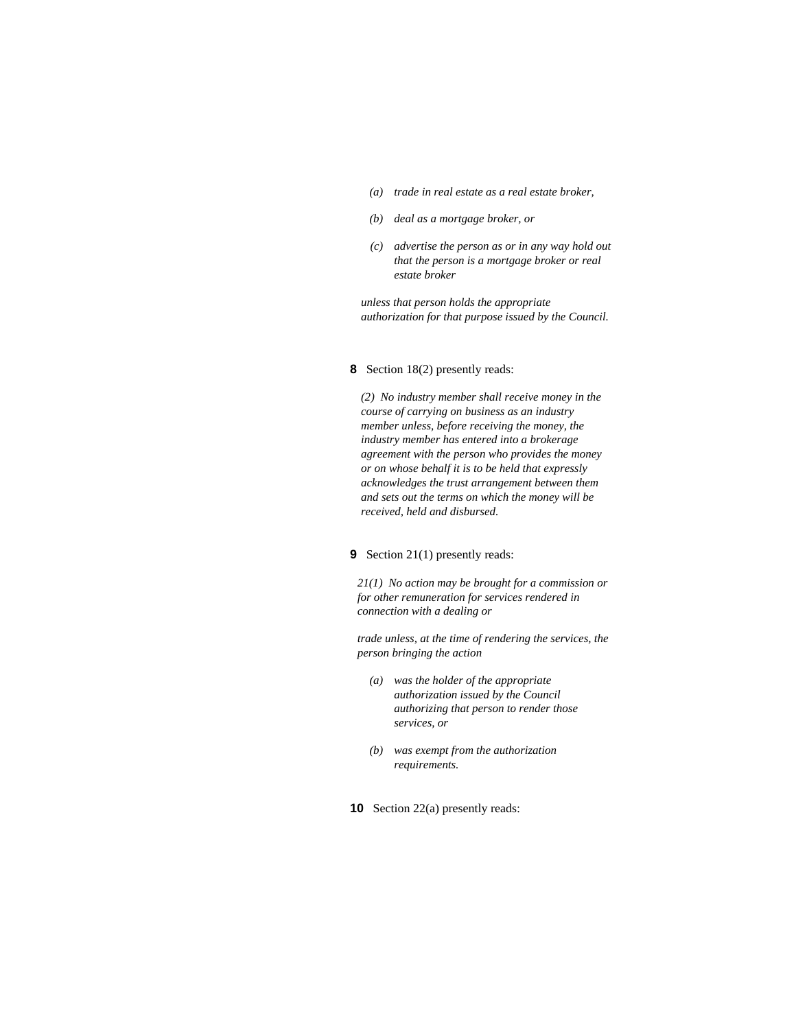- *(a) trade in real estate as a real estate broker,*
- *(b) deal as a mortgage broker, or*
- *(c) advertise the person as or in any way hold out that the person is a mortgage broker or real estate broker*

*unless that person holds the appropriate authorization for that purpose issued by the Council.* 

#### **8** Section 18(2) presently reads:

*(2) No industry member shall receive money in the course of carrying on business as an industry member unless, before receiving the money, the industry member has entered into a brokerage agreement with the person who provides the money or on whose behalf it is to be held that expressly acknowledges the trust arrangement between them and sets out the terms on which the money will be received, held and disbursed.* 

#### **9** Section 21(1) presently reads:

*21(1) No action may be brought for a commission or for other remuneration for services rendered in connection with a dealing or* 

*trade unless, at the time of rendering the services, the person bringing the action* 

- *(a) was the holder of the appropriate authorization issued by the Council authorizing that person to render those services, or*
- *(b) was exempt from the authorization requirements.*
- **10** Section 22(a) presently reads: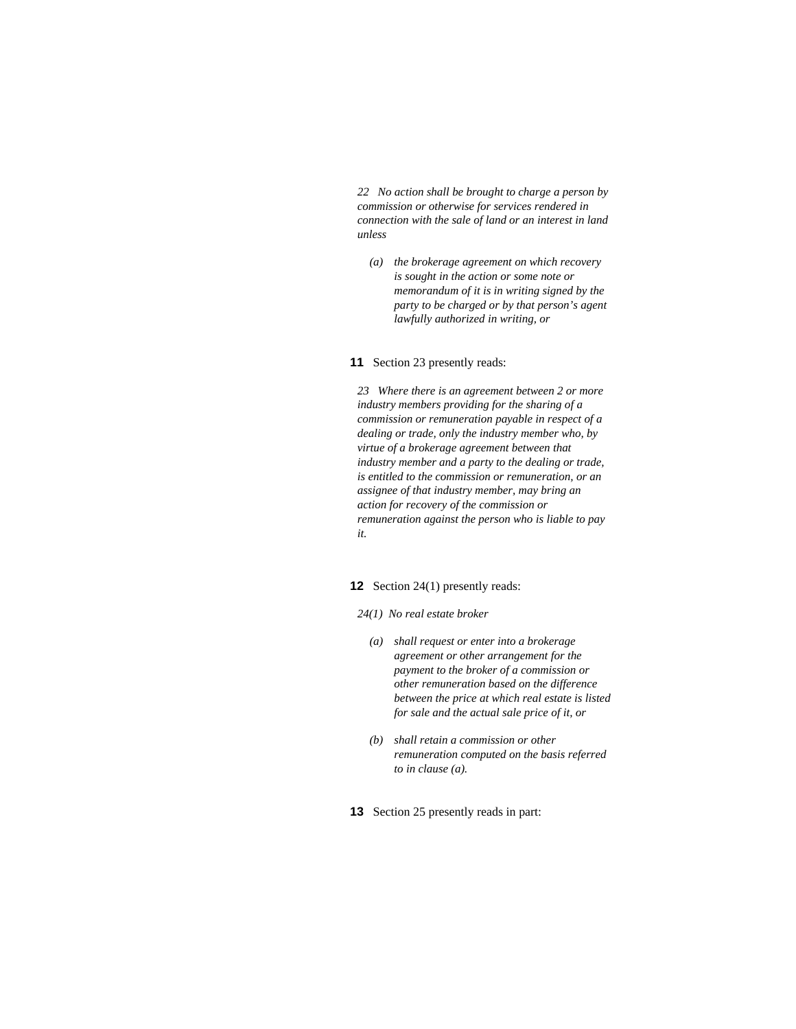*22 No action shall be brought to charge a person by commission or otherwise for services rendered in connection with the sale of land or an interest in land unless* 

 *(a) the brokerage agreement on which recovery is sought in the action or some note or memorandum of it is in writing signed by the party to be charged or by that person's agent lawfully authorized in writing, or* 

#### **11** Section 23 presently reads:

*23 Where there is an agreement between 2 or more industry members providing for the sharing of a commission or remuneration payable in respect of a dealing or trade, only the industry member who, by virtue of a brokerage agreement between that industry member and a party to the dealing or trade, is entitled to the commission or remuneration, or an assignee of that industry member, may bring an action for recovery of the commission or remuneration against the person who is liable to pay it.* 

#### **12** Section 24(1) presently reads:

- *24(1) No real estate broker* 
	- *(a) shall request or enter into a brokerage agreement or other arrangement for the payment to the broker of a commission or other remuneration based on the difference between the price at which real estate is listed for sale and the actual sale price of it, or*
	- *(b) shall retain a commission or other remuneration computed on the basis referred to in clause (a).*
- **13** Section 25 presently reads in part: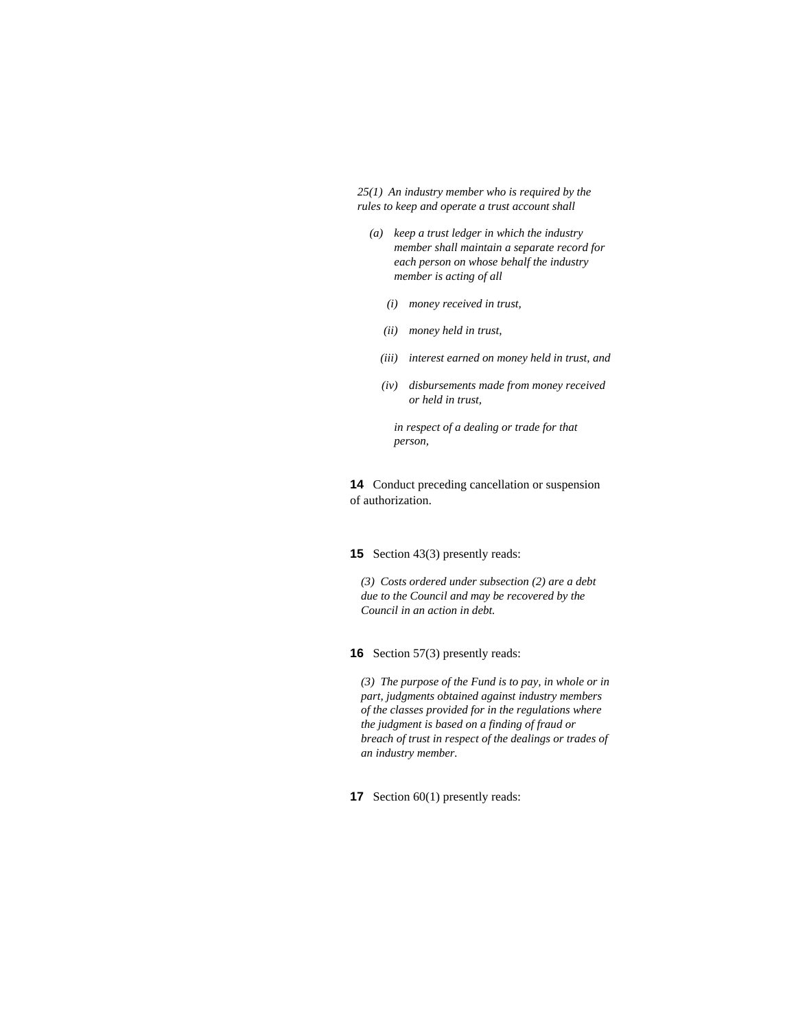*25(1) An industry member who is required by the rules to keep and operate a trust account shall* 

- *(a) keep a trust ledger in which the industry member shall maintain a separate record for each person on whose behalf the industry member is acting of all* 
	- *(i) money received in trust,*
	- *(ii) money held in trust,*
	- *(iii) interest earned on money held in trust, and*
	- *(iv) disbursements made from money received or held in trust,*

 *in respect of a dealing or trade for that person,* 

**14** Conduct preceding cancellation or suspension of authorization.

## **15** Section 43(3) presently reads:

*(3) Costs ordered under subsection (2) are a debt due to the Council and may be recovered by the Council in an action in debt.* 

**16** Section 57(3) presently reads:

*(3) The purpose of the Fund is to pay, in whole or in part, judgments obtained against industry members of the classes provided for in the regulations where the judgment is based on a finding of fraud or breach of trust in respect of the dealings or trades of an industry member.* 

**17** Section 60(1) presently reads: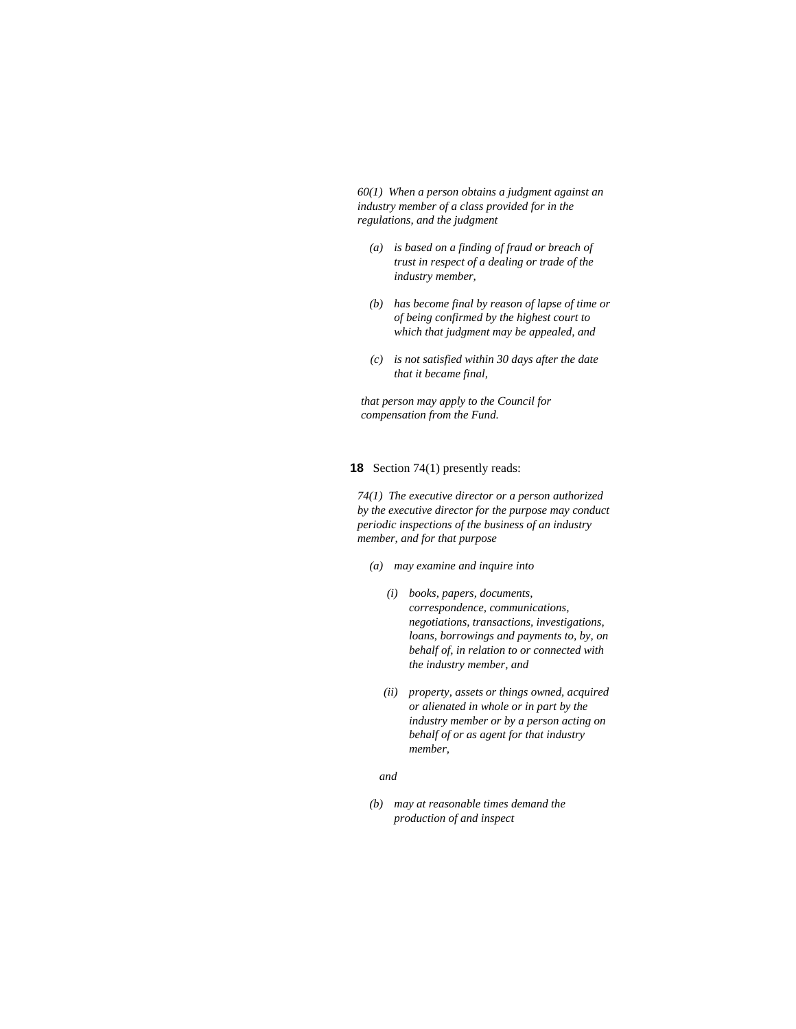*60(1) When a person obtains a judgment against an industry member of a class provided for in the regulations, and the judgment* 

- *(a) is based on a finding of fraud or breach of trust in respect of a dealing or trade of the industry member,*
- *(b) has become final by reason of lapse of time or of being confirmed by the highest court to which that judgment may be appealed, and*
- *(c) is not satisfied within 30 days after the date that it became final,*

*that person may apply to the Council for compensation from the Fund.* 

#### **18** Section 74(1) presently reads:

*74(1) The executive director or a person authorized by the executive director for the purpose may conduct periodic inspections of the business of an industry member, and for that purpose* 

- *(a) may examine and inquire into* 
	- *(i) books, papers, documents, correspondence, communications, negotiations, transactions, investigations, loans, borrowings and payments to, by, on behalf of, in relation to or connected with the industry member, and*
	- *(ii) property, assets or things owned, acquired or alienated in whole or in part by the industry member or by a person acting on behalf of or as agent for that industry member,*

#### *and*

 *(b) may at reasonable times demand the production of and inspect*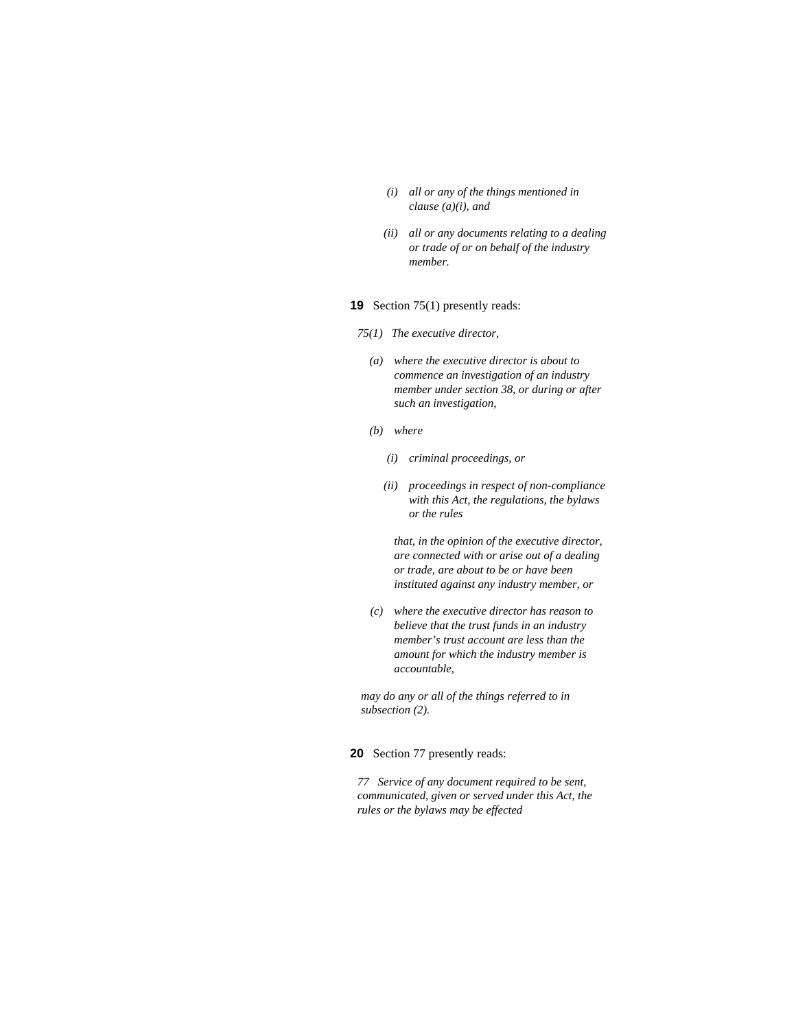- *(i) all or any of the things mentioned in clause (a)(i), and*
- *(ii) all or any documents relating to a dealing or trade of or on behalf of the industry member.*

## **19** Section 75(1) presently reads:

- *75(1) The executive director,* 
	- *(a) where the executive director is about to commence an investigation of an industry member under section 38, or during or after such an investigation,*
	- *(b) where* 
		- *(i) criminal proceedings, or*
		- *(ii) proceedings in respect of non-compliance with this Act, the regulations, the bylaws or the rules*

 *that, in the opinion of the executive director, are connected with or arise out of a dealing or trade, are about to be or have been instituted against any industry member, or* 

 *(c) where the executive director has reason to believe that the trust funds in an industry member's trust account are less than the amount for which the industry member is accountable,* 

*may do any or all of the things referred to in subsection (2).* 

#### **20** Section 77 presently reads:

*77 Service of any document required to be sent, communicated, given or served under this Act, the rules or the bylaws may be effected*